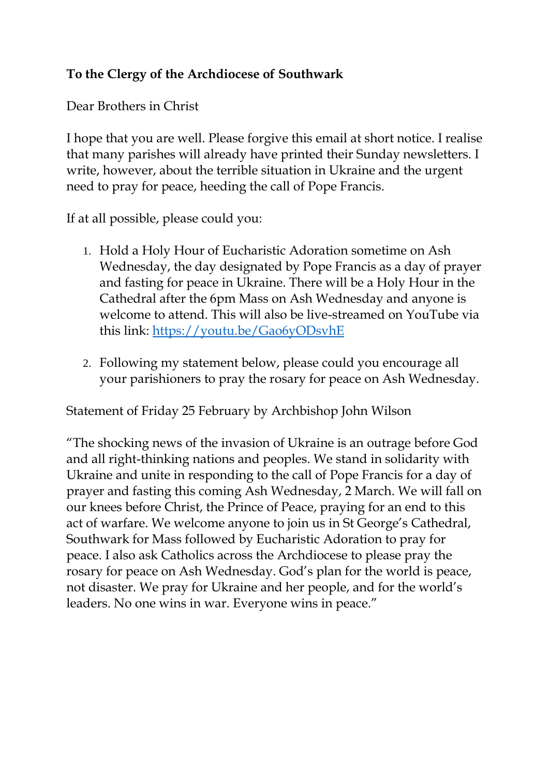## **To the Clergy of the Archdiocese of Southwark**

Dear Brothers in Christ

I hope that you are well. Please forgive this email at short notice. I realise that many parishes will already have printed their Sunday newsletters. I write, however, about the terrible situation in Ukraine and the urgent need to pray for peace, heeding the call of Pope Francis.

If at all possible, please could you:

- 1. Hold a Holy Hour of Eucharistic Adoration sometime on Ash Wednesday, the day designated by Pope Francis as a day of prayer and fasting for peace in Ukraine. There will be a Holy Hour in the Cathedral after the 6pm Mass on Ash Wednesday and anyone is welcome to attend. This will also be live-streamed on YouTube via this link:<https://youtu.be/Gao6yODsvhE>
- 2. Following my statement below, please could you encourage all your parishioners to pray the rosary for peace on Ash Wednesday.

Statement of Friday 25 February by Archbishop John Wilson

"The shocking news of the invasion of Ukraine is an outrage before God and all right-thinking nations and peoples. We stand in solidarity with Ukraine and unite in responding to the call of Pope Francis for a day of prayer and fasting this coming Ash Wednesday, 2 March. We will fall on our knees before Christ, the Prince of Peace, praying for an end to this act of warfare. We welcome anyone to join us in St George's Cathedral, Southwark for Mass followed by Eucharistic Adoration to pray for peace. I also ask Catholics across the Archdiocese to please pray the rosary for peace on Ash Wednesday. God's plan for the world is peace, not disaster. We pray for Ukraine and her people, and for the world's leaders. No one wins in war. Everyone wins in peace."